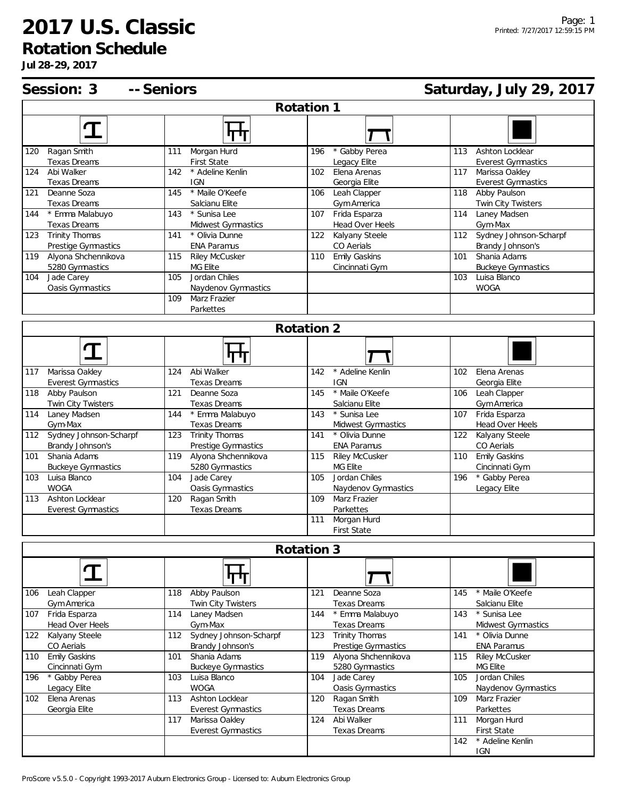## **2017 U.S. Classic**

**Rotation Schedule**

**Jul 28-29, 2017**

142 \* Adeline Kenlin IGN

|            | Session: 3 -- Seniors                      |                                                     | Saturday, July 29, 2017                   |                                                    |  |  |
|------------|--------------------------------------------|-----------------------------------------------------|-------------------------------------------|----------------------------------------------------|--|--|
| Rotation 1 |                                            |                                                     |                                           |                                                    |  |  |
|            | Т                                          | पाण                                                 |                                           |                                                    |  |  |
|            | 120 Ragan Smith                            | Morgan Hurd<br>111                                  | * Gabby Perea<br>196                      | Ashton Locklear<br>113                             |  |  |
| 124        | Texas Dreams<br>Abi Walker                 | First State<br>* Adeline Kenlin<br>142              | Legacy Elite<br>Elena Arenas<br>102       | <b>Everest Gymnastics</b><br>Marissa Oakley<br>117 |  |  |
|            | <b>Texas Dreams</b>                        | <b>IGN</b>                                          | Georgia Elite                             | <b>Everest Gymnastics</b>                          |  |  |
| 121        | Deanne Soza                                | * Maile O'Keefe<br>145                              | 106 Leah Clapper                          | 118 Abby Paulson                                   |  |  |
|            | Texas Dreams                               | Salcianu Elite                                      | Gym America                               | Twin City Twisters                                 |  |  |
| 144        | * Emma Malabuyo                            | * Sunisa Lee<br>143                                 | Frida Esparza<br>107                      | Laney Madsen<br>114                                |  |  |
|            | Texas Dreams                               | Midwest Gymnastics                                  | Head Over Heels                           | Gym-Max                                            |  |  |
| 123        | Trinity Thomas                             | 141<br>* Olivia Dunne                               | 122<br>Kalyany Steele                     | Sydney Johnson-Scharpf<br>112                      |  |  |
| 119        | Prestige Gymnastics<br>Alyona Shchennikova | <b>ENA Paramus</b><br>Riley McCusker<br>115         | CO Aerials<br><b>Emily Gaskins</b><br>110 | Brandy Johnson's<br>Shania Adams<br>101            |  |  |
|            | 5280 Gymnastics                            | MG Elite                                            | Cincinnati Gym                            | <b>Buckeye Gymnastics</b>                          |  |  |
| 104        | Jade Carey                                 | Jordan Chiles<br>105                                |                                           | 103<br>Luisa Blanco                                |  |  |
|            | Oasis Gymnastics                           | Naydenov Gymnastics                                 |                                           | <b>WOGA</b>                                        |  |  |
|            |                                            | Marz Frazier<br>109                                 |                                           |                                                    |  |  |
|            |                                            | Parkettes                                           |                                           |                                                    |  |  |
|            |                                            |                                                     | Rotation 2                                |                                                    |  |  |
|            |                                            |                                                     |                                           |                                                    |  |  |
|            | 117 Marissa Oakley                         | Abi Walker<br>124                                   | * Adeline Kenlin<br>142                   | Elena Arenas<br>102                                |  |  |
|            | <b>Everest Gymnastics</b>                  | <b>Texas Dreams</b>                                 | <b>IGN</b><br>* Maile O'Keefe             | Georgia Elite                                      |  |  |
|            | 118 Abby Paulson                           | 121<br>Deanne Soza<br>Texas Dreams                  | 145<br>Salcianu Elite                     | 106<br>Leah Clapper                                |  |  |
| 114        | Twin City Twisters<br>Laney Madsen         | * Emma Malabuyo<br>144                              | * Sunisa Lee<br>143                       | Gym America<br>Frida Esparza<br>107                |  |  |
|            | Gym-Max                                    | Texas Dreams                                        | Midwest Gymnastics                        | Head Over Heels                                    |  |  |
|            | 112 Sydney Johnson-Scharpf                 | Trinity Thomas<br>123                               | * Olivia Dunne<br>141                     | 122 Kalyany Steele                                 |  |  |
|            | Brandy Johnson's                           | Prestige Gymnastics                                 | <b>ENA Paramus</b>                        | CO Aerials                                         |  |  |
| 101        | Shania Adams                               | Alyona Shchennikova<br>119                          | Riley McCusker<br>115                     | <b>Emily Gaskins</b><br>110                        |  |  |
|            | <b>Buckeye Gymnastics</b>                  | 5280 Gymnastics                                     | MG Elite                                  | Cincinnati Gym                                     |  |  |
| 103        | Luisa Blanco                               | 104<br>Jade Carey                                   | Jordan Chiles<br>105                      | * Gabby Perea<br>196                               |  |  |
|            | <b>WOGA</b>                                | Oasis Gymnastics                                    | Naydenov Gymnastics                       | Legacy Elite                                       |  |  |
| 113        | Ashton Locklear                            | Ragan Smith<br>120<br><b>Texas Dreams</b>           | Marz Frazier<br>109                       |                                                    |  |  |
|            | <b>Everest Gymnastics</b>                  |                                                     | Parkettes<br>Morgan Hurd<br>111           |                                                    |  |  |
|            |                                            |                                                     | <b>First State</b>                        |                                                    |  |  |
| Rotation 3 |                                            |                                                     |                                           |                                                    |  |  |
|            | ${\bf T}$                                  |                                                     |                                           |                                                    |  |  |
|            | 106 Leah Clapper                           | <u> जिल</u><br>Abby Paulson<br>118                  | Deanne Soza<br>121                        | * Maile O'Keefe<br>145                             |  |  |
|            | Gym America                                | Twin City Twisters                                  | <b>Texas Dreams</b>                       | Salcianu Elite                                     |  |  |
|            | 107 Frida Esparza                          | Laney Madsen<br>114                                 | * Emma Malabuyo<br>144                    | 143<br>* Sunisa Lee                                |  |  |
|            | Head Over Heels                            | Gym-Max                                             | Texas Dreams                              | Midwest Gymnastics                                 |  |  |
|            | 122 Kalyany Steele                         | Sydney Johnson-Scharpf<br>112                       | Trinity Thomas<br>123                     | * Olivia Dunne<br>141                              |  |  |
|            | CO Aerials                                 | Brandy Johnson's                                    | Prestige Gymnastics                       | <b>ENA Paramus</b>                                 |  |  |
| 110        | <b>Emily Gaskins</b>                       | 101<br>Shania Adams                                 | Alyona Shchennikova<br>119                | <b>Riley McCusker</b><br>115                       |  |  |
|            | Cincinnati Gym                             | <b>Buckeye Gymnastics</b>                           | 5280 Gymnastics                           | MG Elite                                           |  |  |
| 196        | * Gabby Perea                              | Luisa Blanco<br>103                                 | Jade Carey<br>104                         | Jordan Chiles<br>105                               |  |  |
|            | Legacy Elite                               | <b>WOGA</b>                                         | Oasis Gymnastics                          | Naydenov Gymnastics                                |  |  |
| 102        | Elena Arenas                               | Ashton Locklear<br>113<br><b>Everest Gymnastics</b> | Ragan Smith<br>120<br>Texas Dreams        | Marz Frazier<br>109<br>Parkettes                   |  |  |
|            | Georgia Elite                              | Marissa Oakley<br>117                               | Abi Walker<br>124                         | Morgan Hurd<br>111                                 |  |  |
|            |                                            | <b>Everest Gymnastics</b>                           | Texas Dreams                              | <b>First State</b>                                 |  |  |